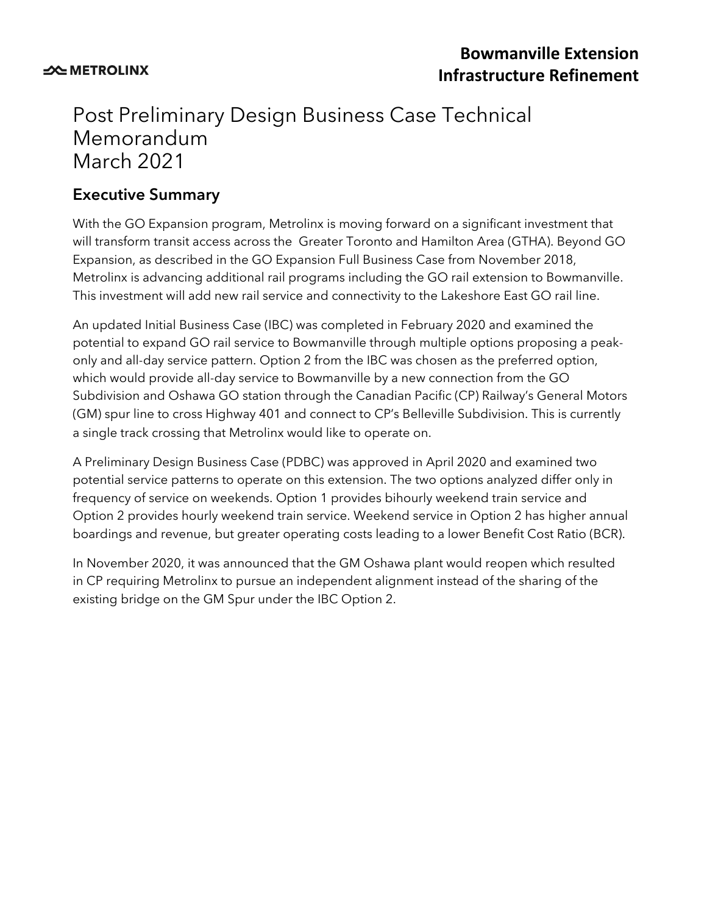# Post Preliminary Design Business Case Technical Memorandum March 2021

### Executive Summary

With the GO Expansion program, Metrolinx is moving forward on a significant investment that will transform transit access across the Greater Toronto and Hamilton Area (GTHA). Beyond GO Expansion, as described in the GO Expansion Full Business Case from November 2018, Metrolinx is advancing additional rail programs including the GO rail extension to Bowmanville. This investment will add new rail service and connectivity to the Lakeshore East GO rail line.

An updated Initial Business Case (IBC) was completed in February 2020 and examined the potential to expand GO rail service to Bowmanville through multiple options proposing a peakonly and all-day service pattern. Option 2 from the IBC was chosen as the preferred option, which would provide all-day service to Bowmanville by a new connection from the GO Subdivision and Oshawa GO station through the Canadian Pacific (CP) Railway's General Motors (GM) spur line to cross Highway 401 and connect to CP's Belleville Subdivision. This is currently a single track crossing that Metrolinx would like to operate on.

A Preliminary Design Business Case (PDBC) was approved in April 2020 and examined two potential service patterns to operate on this extension. The two options analyzed differ only in frequency of service on weekends. Option 1 provides bihourly weekend train service and Option 2 provides hourly weekend train service. Weekend service in Option 2 has higher annual boardings and revenue, but greater operating costs leading to a lower Benefit Cost Ratio (BCR).

In November 2020, it was announced that the GM Oshawa plant would reopen which resulted in CP requiring Metrolinx to pursue an independent alignment instead of the sharing of the existing bridge on the GM Spur under the IBC Option 2.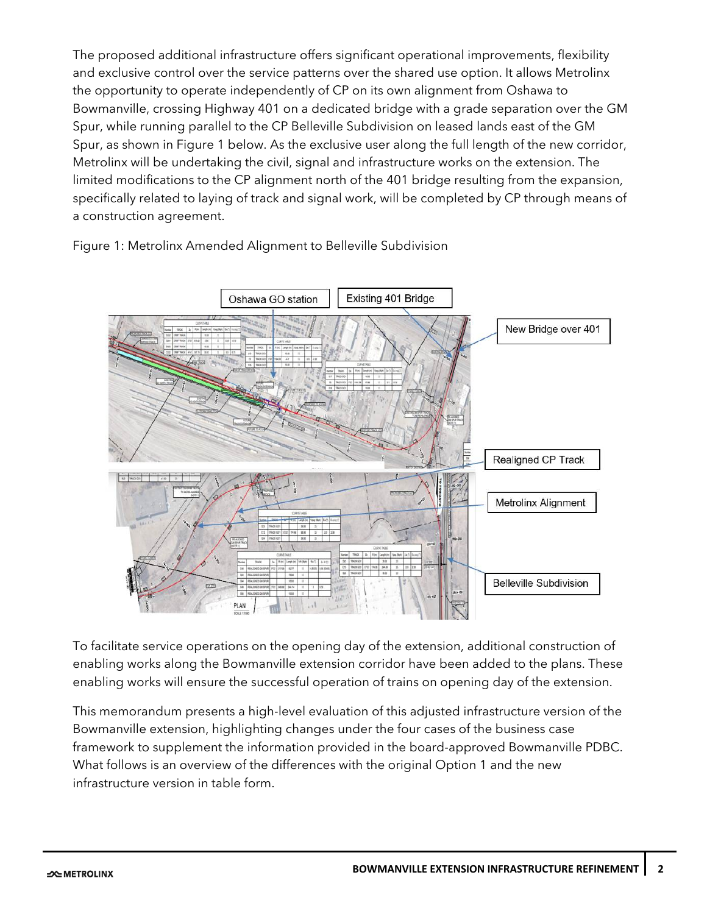The proposed additional infrastructure offers significant operational improvements, flexibility and exclusive control over the service patterns over the shared use option. It allows Metrolinx the opportunity to operate independently of CP on its own alignment from Oshawa to Bowmanville, crossing Highway 401 on a dedicated bridge with a grade separation over the GM Spur, while running parallel to the CP Belleville Subdivision on leased lands east of the GM Spur, as shown in Figure 1 below. As the exclusive user along the full length of the new corridor, Metrolinx will be undertaking the civil, signal and infrastructure works on the extension. The limited modifications to the CP alignment north of the 401 bridge resulting from the expansion, specifically related to laying of track and signal work, will be completed by CP through means of a construction agreement.



Figure 1: Metrolinx Amended Alignment to Belleville Subdivision

To facilitate service operations on the opening day of the extension, additional construction of enabling works along the Bowmanville extension corridor have been added to the plans. These enabling works will ensure the successful operation of trains on opening day of the extension.

This memorandum presents a high-level evaluation of this adjusted infrastructure version of the Bowmanville extension, highlighting changes under the four cases of the business case framework to supplement the information provided in the board-approved Bowmanville PDBC. What follows is an overview of the differences with the original Option 1 and the new infrastructure version in table form.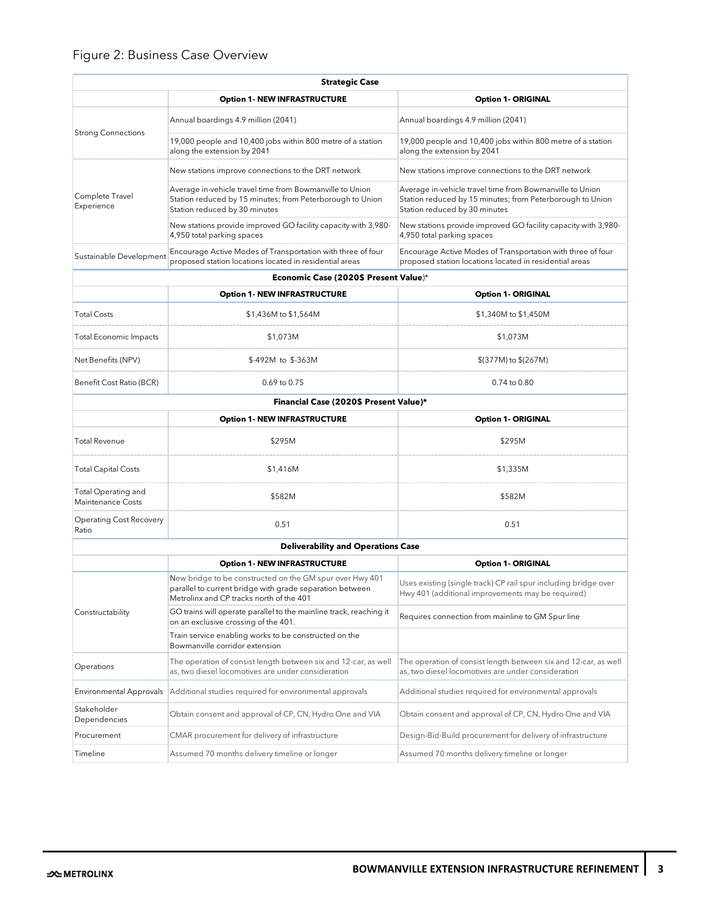#### Figure 2: Business Case Overview

| <b>Strategic Case</b>                           |                                                                                                                                                                  |                                                                                                                                                        |  |  |
|-------------------------------------------------|------------------------------------------------------------------------------------------------------------------------------------------------------------------|--------------------------------------------------------------------------------------------------------------------------------------------------------|--|--|
|                                                 | <b>Option 1- NEW INFRASTRUCTURE</b>                                                                                                                              | <b>Option 1- ORIGINAL</b>                                                                                                                              |  |  |
| <b>Strong Connections</b>                       | Annual boardings 4.9 million (2041)                                                                                                                              | Annual boardings 4.9 million (2041)                                                                                                                    |  |  |
|                                                 | 19,000 people and 10,400 jobs within 800 metre of a station<br>along the extension by 2041                                                                       | 19,000 people and 10,400 jobs within 800 metre of a station<br>along the extension by 2041                                                             |  |  |
| Complete Travel<br>Experience                   | New stations improve connections to the DRT network                                                                                                              | New stations improve connections to the DRT network                                                                                                    |  |  |
|                                                 | Average in-vehicle travel time from Bowmanville to Union<br>Station reduced by 15 minutes; from Peterborough to Union<br>Station reduced by 30 minutes           | Average in-vehicle travel time from Bowmanville to Union<br>Station reduced by 15 minutes; from Peterborough to Union<br>Station reduced by 30 minutes |  |  |
|                                                 | New stations provide improved GO facility capacity with 3,980-<br>4,950 total parking spaces                                                                     | New stations provide improved GO facility capacity with 3,980-<br>4,950 total parking spaces                                                           |  |  |
| Sustainable Development                         | Encourage Active Modes of Transportation with three of four<br>proposed station locations located in residential areas                                           | Encourage Active Modes of Transportation with three of four<br>proposed station locations located in residential areas                                 |  |  |
|                                                 | Economic Case (2020\$ Present Value)*                                                                                                                            |                                                                                                                                                        |  |  |
|                                                 | <b>Option 1- NEW INFRASTRUCTURE</b>                                                                                                                              | <b>Option 1- ORIGINAL</b>                                                                                                                              |  |  |
| <b>Total Costs</b>                              | \$1,436M to \$1,564M                                                                                                                                             | \$1,340M to \$1,450M                                                                                                                                   |  |  |
| <b>Total Economic Impacts</b>                   | \$1,073M                                                                                                                                                         | \$1,073M                                                                                                                                               |  |  |
| Net Benefits (NPV)                              | \$-492M to \$-363M                                                                                                                                               | \$(377M) to \$(267M)                                                                                                                                   |  |  |
| Benefit Cost Ratio (BCR)                        | 0.69 to 0.75                                                                                                                                                     | 0.74 to 0.80                                                                                                                                           |  |  |
|                                                 | Financial Case (2020\$ Present Value)*                                                                                                                           |                                                                                                                                                        |  |  |
|                                                 | <b>Option 1- NEW INFRASTRUCTURE</b>                                                                                                                              | <b>Option 1- ORIGINAL</b>                                                                                                                              |  |  |
| <b>Total Revenue</b>                            | \$295M                                                                                                                                                           | \$295M                                                                                                                                                 |  |  |
| <b>Total Capital Costs</b>                      | \$1,416M                                                                                                                                                         | \$1,335M                                                                                                                                               |  |  |
| Total Operating and<br><b>Maintenance Costs</b> | \$582M                                                                                                                                                           | \$582M                                                                                                                                                 |  |  |
| <b>Operating Cost Recovery</b><br>Ratio         | 0.51                                                                                                                                                             | 0.51                                                                                                                                                   |  |  |
|                                                 | <b>Deliverability and Operations Case</b>                                                                                                                        |                                                                                                                                                        |  |  |
|                                                 | <b>Option 1- NEW INFRASTRUCTURE</b>                                                                                                                              | <b>Option 1- ORIGINAL</b>                                                                                                                              |  |  |
| Constructability                                | New bridge to be constructed on the GM spur over Hwy 401<br>parallel to current bridge with grade separation between<br>Metrolinx and CP tracks north of the 401 | Uses existing (single track) CP rail spur including bridge over<br>Hwy 401 (additional improvements may be required)                                   |  |  |
|                                                 | GO trains will operate parallel to the mainline track, reaching it<br>on an exclusive crossing of the 401.                                                       | Requires connection from mainline to GM Spur line                                                                                                      |  |  |
|                                                 | Train service enabling works to be constructed on the<br>Bowmanville corridor extension                                                                          |                                                                                                                                                        |  |  |
| Operations                                      | The operation of consist length between six and 12-car, as well<br>as, two diesel locomotives are under consideration                                            | The operation of consist length between six and 12-car, as well<br>as, two diesel locomotives are under consideration                                  |  |  |
| <b>Environmental Approvals</b>                  | Additional studies required for environmental approvals                                                                                                          | Additional studies required for environmental approvals                                                                                                |  |  |
| Stakeholder<br>Dependencies                     | Obtain consent and approval of CP, CN, Hydro One and VIA                                                                                                         | Obtain consent and approval of CP, CN, Hydro One and VIA                                                                                               |  |  |
| Procurement                                     | CMAR procurement for delivery of infrastructure                                                                                                                  | Design-Bid-Build procurement for delivery of infrastructure                                                                                            |  |  |
| Timeline                                        | Assumed 70 months delivery timeline or longer                                                                                                                    | Assumed 70 months delivery timeline or longer                                                                                                          |  |  |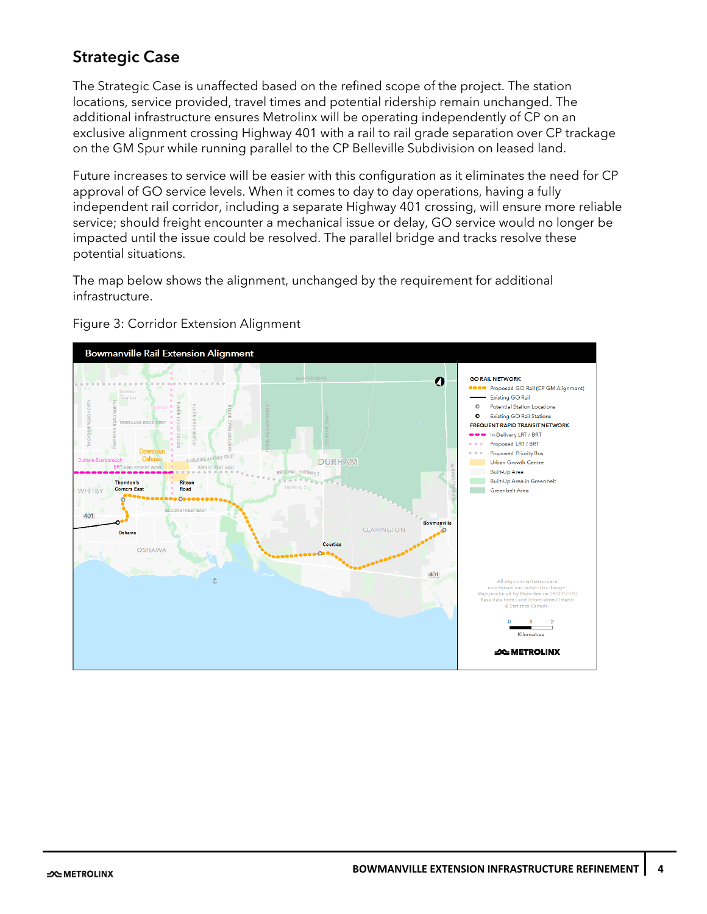## Strategic Case

The Strategic Case is unaffected based on the refined scope of the project. The station locations, service provided, travel times and potential ridership remain unchanged. The additional infrastructure ensures Metrolinx will be operating independently of CP on an exclusive alignment crossing Highway 401 with a rail to rail grade separation over CP trackage on the GM Spur while running parallel to the CP Belleville Subdivision on leased land.

Future increases to service will be easier with this configuration as it eliminates the need for CP approval of GO service levels. When it comes to day to day operations, having a fully independent rail corridor, including a separate Highway 401 crossing, will ensure more reliable service; should freight encounter a mechanical issue or delay, GO service would no longer be impacted until the issue could be resolved. The parallel bridge and tracks resolve these potential situations.

The map below shows the alignment, unchanged by the requirement for additional infrastructure.



Figure 3: Corridor Extension Alignment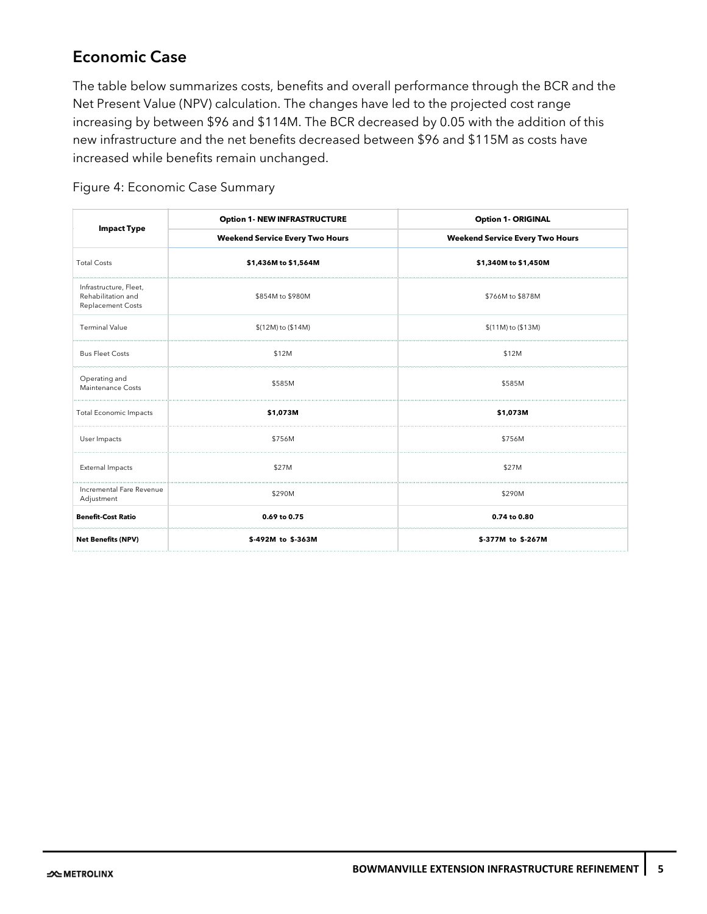## Economic Case

The table below summarizes costs, benefits and overall performance through the BCR and the Net Present Value (NPV) calculation. The changes have led to the projected cost range increasing by between \$96 and \$114M. The BCR decreased by 0.05 with the addition of this new infrastructure and the net benefits decreased between \$96 and \$115M as costs have increased while benefits remain unchanged.

| <b>Impact Type</b>                                                | <b>Option 1- NEW INFRASTRUCTURE</b>    | <b>Option 1- ORIGINAL</b><br><b>Weekend Service Every Two Hours</b> |  |
|-------------------------------------------------------------------|----------------------------------------|---------------------------------------------------------------------|--|
|                                                                   | <b>Weekend Service Every Two Hours</b> |                                                                     |  |
| <b>Total Costs</b>                                                | \$1,436M to \$1,564M                   | \$1,340M to \$1,450M                                                |  |
| Infrastructure, Fleet,<br>Rehabilitation and<br>Replacement Costs | \$854M to \$980M                       | \$766M to \$878M                                                    |  |
| <b>Terminal Value</b>                                             | \$(12M) to (\$14M)                     | \$(11M) to (\$13M)                                                  |  |
| <b>Bus Fleet Costs</b>                                            | \$12M                                  | \$12M                                                               |  |
| Operating and<br>Maintenance Costs                                | \$585M                                 | \$585M                                                              |  |
| <b>Total Economic Impacts</b>                                     | \$1,073M                               | \$1,073M                                                            |  |
| User Impacts                                                      | \$756M                                 | \$756M                                                              |  |
| <b>External Impacts</b>                                           | \$27M                                  | \$27M                                                               |  |
| Incremental Fare Revenue<br>Adjustment                            | \$290M                                 | \$290M                                                              |  |
| <b>Benefit-Cost Ratio</b>                                         | 0.69 to 0.75                           | 0.74 to 0.80                                                        |  |
| <b>Net Benefits (NPV)</b>                                         | \$-492M to \$-363M                     | \$-377M to \$-267M                                                  |  |

Figure 4: Economic Case Summary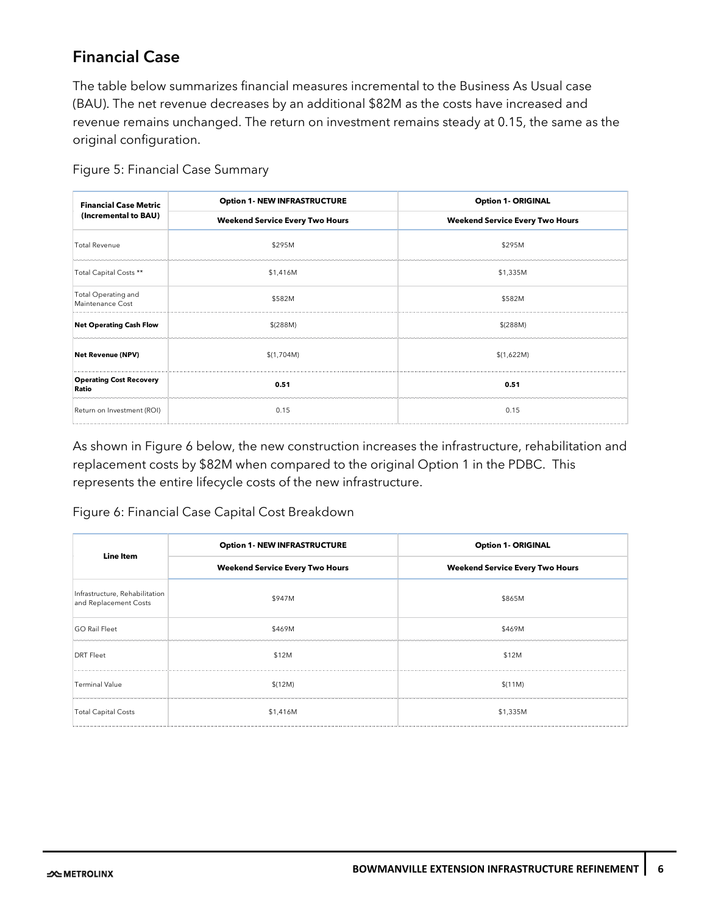#### Financial Case

The table below summarizes financial measures incremental to the Business As Usual case (BAU). The net revenue decreases by an additional \$82M as the costs have increased and revenue remains unchanged. The return on investment remains steady at 0.15, the same as the original configuration.

| <b>Financial Case Metric</b><br>(Incremental to BAU) | <b>Option 1- NEW INFRASTRUCTURE</b>    | <b>Option 1- ORIGINAL</b>              |  |
|------------------------------------------------------|----------------------------------------|----------------------------------------|--|
|                                                      | <b>Weekend Service Every Two Hours</b> | <b>Weekend Service Every Two Hours</b> |  |
| <b>Total Revenue</b>                                 | \$295M                                 | \$295M                                 |  |
| Total Capital Costs **                               | \$1,416M                               | \$1,335M                               |  |
| <b>Total Operating and</b><br>Maintenance Cost       | \$582M                                 | \$582M                                 |  |
| <b>Net Operating Cash Flow</b>                       | \$(288M)                               | \$ (288M)                              |  |
| <b>Net Revenue (NPV)</b>                             | \$(1,704M)                             | \$(1,622M)                             |  |
| <b>Operating Cost Recovery</b><br>Ratio              | 0.51                                   | 0.51                                   |  |
| Return on Investment (ROI)                           | 0.15                                   | 0.15                                   |  |

Figure 5: Financial Case Summary

As shown in Figure 6 below, the new construction increases the infrastructure, rehabilitation and replacement costs by \$82M when compared to the original Option 1 in the PDBC. This represents the entire lifecycle costs of the new infrastructure.

#### Figure 6: Financial Case Capital Cost Breakdown

| Line Item                                               | <b>Option 1- NEW INFRASTRUCTURE</b>    | <b>Option 1- ORIGINAL</b>              |  |
|---------------------------------------------------------|----------------------------------------|----------------------------------------|--|
|                                                         | <b>Weekend Service Every Two Hours</b> | <b>Weekend Service Every Two Hours</b> |  |
| Infrastructure, Rehabilitation<br>and Replacement Costs | \$947M                                 | \$865M                                 |  |
| <b>GO Rail Fleet</b>                                    | \$469M                                 | \$469M                                 |  |
| <b>DRT</b> Fleet                                        | \$12M                                  | \$12M                                  |  |
| Terminal Value                                          | \$(12M)                                | \$(11M)                                |  |
| <b>Total Capital Costs</b>                              | \$1,416M                               | \$1,335M                               |  |